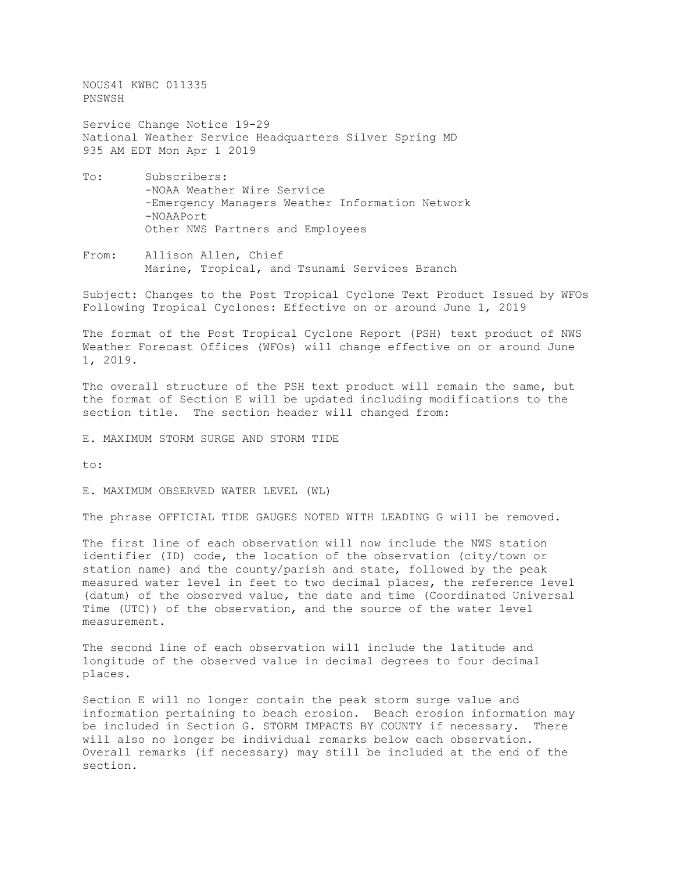NOUS41 KWBC 011335 PNSWSH

Service Change Notice 19-29 National Weather Service Headquarters Silver Spring MD 935 AM EDT Mon Apr 1 2019

- To: Subscribers: -NOAA Weather Wire Service -Emergency Managers Weather Information Network -NOAAPort Other NWS Partners and Employees
- From: Allison Allen, Chief Marine, Tropical, and Tsunami Services Branch

Subject: Changes to the Post Tropical Cyclone Text Product Issued by WFOs Following Tropical Cyclones: Effective on or around June 1, 2019

The format of the Post Tropical Cyclone Report (PSH) text product of NWS Weather Forecast Offices (WFOs) will change effective on or around June 1, 2019.

The overall structure of the PSH text product will remain the same, but the format of Section E will be updated including modifications to the section title. The section header will changed from:

E. MAXIMUM STORM SURGE AND STORM TIDE

to:

E. MAXIMUM OBSERVED WATER LEVEL (WL)

The phrase OFFICIAL TIDE GAUGES NOTED WITH LEADING G will be removed.

The first line of each observation will now include the NWS station identifier (ID) code, the location of the observation (city/town or station name) and the county/parish and state, followed by the peak measured water level in feet to two decimal places, the reference level (datum) of the observed value, the date and time (Coordinated Universal Time (UTC)) of the observation, and the source of the water level measurement.

The second line of each observation will include the latitude and longitude of the observed value in decimal degrees to four decimal places.

Section E will no longer contain the peak storm surge value and information pertaining to beach erosion. Beach erosion information may<br>be included in Section G. STORM IMPACTS BY COUNTY if necessary. There be included in Section G. STORM IMPACTS BY COUNTY if necessary. will also no longer be individual remarks below each observation. Overall remarks (if necessary) may still be included at the end of the section.